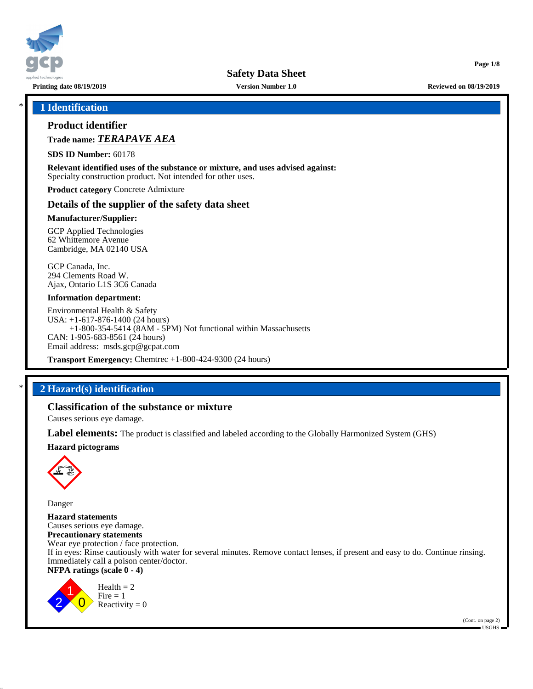

**Printing date 08/19/2019 Version Number 1.0 Reviewed on 08/19/2019**

**Page 1/8**

## \* **1 Identification**

## **Product identifier**

**Trade name:** *TERAPAVE AEA*

**SDS ID Number:** 60178

**Relevant identified uses of the substance or mixture, and uses advised against:** Specialty construction product. Not intended for other uses.

**Product category** Concrete Admixture

#### **Details of the supplier of the safety data sheet**

#### **Manufacturer/Supplier:**

GCP Applied Technologies 62 Whittemore Avenue Cambridge, MA 02140 USA

GCP Canada, Inc. 294 Clements Road W. Ajax, Ontario L1S 3C6 Canada

#### **Information department:**

Environmental Health & Safety USA: +1-617-876-1400 (24 hours) +1-800-354-5414 (8AM - 5PM) Not functional within Massachusetts CAN: 1-905-683-8561 (24 hours) Email address: msds.gcp@gcpat.com

**Transport Emergency:** Chemtrec +1-800-424-9300 (24 hours)

# \* **2 Hazard(s) identification**

## **Classification of the substance or mixture**

Causes serious eye damage.

**Label elements:** The product is classified and labeled according to the Globally Harmonized System (GHS)

#### **Hazard pictograms**



Danger

**Hazard statements** Causes serious eye damage. **Precautionary statements** Wear eye protection / face protection. If in eyes: Rinse cautiously with water for several minutes. Remove contact lenses, if present and easy to do. Continue rinsing. Immediately call a poison center/doctor. **NFPA ratings (scale 0 - 4)**



 $Health = 2$  $Fire = 1$ Reactivity  $= 0$ 

(Cont. on page 2)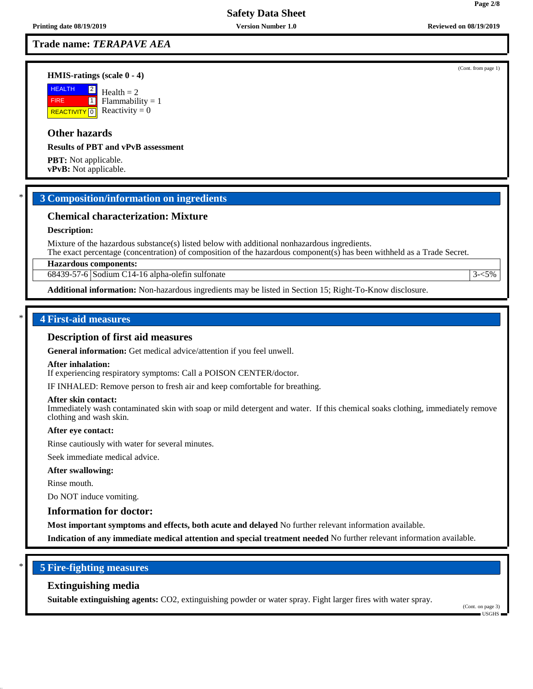## **Trade name:** *TERAPAVE AEA*

#### **HMIS-ratings (scale 0 - 4)**

**HEALTH**  FIRE **REACTIVITY** 0  $|2|$  $\boxed{1}$  $Health = 2$ Flammability  $= 1$ Reactivity  $= 0$ 

# **Other hazards**

**Results of PBT and vPvB assessment**

**PBT:** Not applicable. **vPvB:** Not applicable.

## \* **3 Composition/information on ingredients**

#### **Chemical characterization: Mixture**

#### **Description:**

Mixture of the hazardous substance(s) listed below with additional nonhazardous ingredients. The exact percentage (concentration) of composition of the hazardous component(s) has been withheld as a Trade Secret.

#### **Hazardous components:**

 $68439-57-6$  Sodium C14-16 alpha-olefin sulfonate  $3-5\%$ 

**Additional information:** Non-hazardous ingredients may be listed in Section 15; Right-To-Know disclosure.

#### \* **4 First-aid measures**

#### **Description of first aid measures**

**General information:** Get medical advice/attention if you feel unwell.

#### **After inhalation:**

If experiencing respiratory symptoms: Call a POISON CENTER/doctor.

IF INHALED: Remove person to fresh air and keep comfortable for breathing.

#### **After skin contact:**

Immediately wash contaminated skin with soap or mild detergent and water. If this chemical soaks clothing, immediately remove clothing and wash skin.

#### **After eye contact:**

Rinse cautiously with water for several minutes.

Seek immediate medical advice.

#### **After swallowing:**

Rinse mouth.

Do NOT induce vomiting.

# **Information for doctor:**

**Most important symptoms and effects, both acute and delayed** No further relevant information available.

**Indication of any immediate medical attention and special treatment needed** No further relevant information available.

#### \* **5 Fire-fighting measures**

#### **Extinguishing media**

**Suitable extinguishing agents:** CO2, extinguishing powder or water spray. Fight larger fires with water spray.

(Cont. on page 3) USGHS

(Cont. from page 1)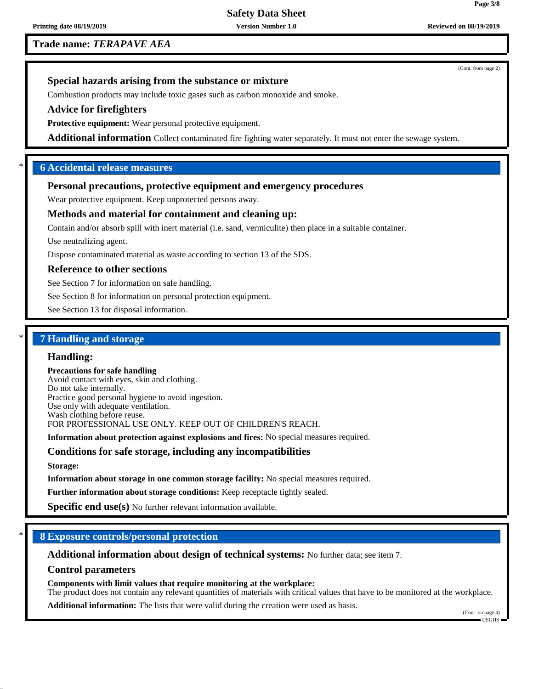**Printing date 08/19/2019 Version Number 1.0 Reviewed on 08/19/2019**

**Trade name:** *TERAPAVE AEA*

(Cont. from page 2)

## **Special hazards arising from the substance or mixture**

Combustion products may include toxic gases such as carbon monoxide and smoke.

## **Advice for firefighters**

**Protective equipment:** Wear personal protective equipment.

**Additional information** Collect contaminated fire fighting water separately. It must not enter the sewage system.

## \* **6 Accidental release measures**

# **Personal precautions, protective equipment and emergency procedures**

Wear protective equipment. Keep unprotected persons away.

## **Methods and material for containment and cleaning up:**

Contain and/or absorb spill with inert material (i.e. sand, vermiculite) then place in a suitable container.

Use neutralizing agent.

Dispose contaminated material as waste according to section 13 of the SDS.

#### **Reference to other sections**

See Section 7 for information on safe handling.

See Section 8 for information on personal protection equipment.

See Section 13 for disposal information.

# \* **7 Handling and storage**

## **Handling:**

**Precautions for safe handling** Avoid contact with eyes, skin and clothing. Do not take internally. Practice good personal hygiene to avoid ingestion. Use only with adequate ventilation. Wash clothing before reuse. FOR PROFESSIONAL USE ONLY. KEEP OUT OF CHILDREN'S REACH.

**Information about protection against explosions and fires:** No special measures required.

## **Conditions for safe storage, including any incompatibilities**

**Storage:**

**Information about storage in one common storage facility:** No special measures required.

**Further information about storage conditions:** Keep receptacle tightly sealed.

**Specific end use(s)** No further relevant information available.

## \* **8 Exposure controls/personal protection**

**Additional information about design of technical systems:** No further data; see item 7.

#### **Control parameters**

**Components with limit values that require monitoring at the workplace:** The product does not contain any relevant quantities of materials with critical values that have to be monitored at the workplace.

**Additional information:** The lists that were valid during the creation were used as basis.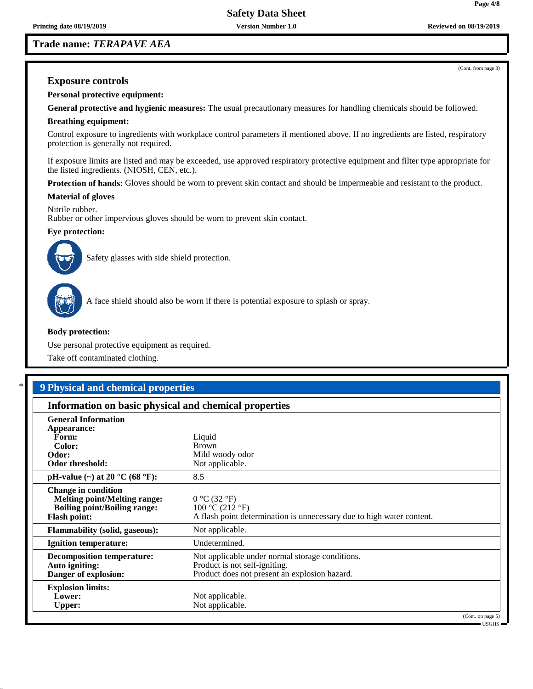## **Trade name:** *TERAPAVE AEA*

(Cont. from page 3)

## **Exposure controls**

**Personal protective equipment:**

**General protective and hygienic measures:** The usual precautionary measures for handling chemicals should be followed.

#### **Breathing equipment:**

Control exposure to ingredients with workplace control parameters if mentioned above. If no ingredients are listed, respiratory protection is generally not required.

If exposure limits are listed and may be exceeded, use approved respiratory protective equipment and filter type appropriate for the listed ingredients. (NIOSH, CEN, etc.).

**Protection of hands:** Gloves should be worn to prevent skin contact and should be impermeable and resistant to the product.

#### **Material of gloves**

Nitrile rubber. Rubber or other impervious gloves should be worn to prevent skin contact.

## **Eye protection:**



Safety glasses with side shield protection.



A face shield should also be worn if there is potential exposure to splash or spray.

#### **Body protection:**

Use personal protective equipment as required.

Take off contaminated clothing.

# \* **9 Physical and chemical properties**

| Information on basic physical and chemical properties                                                                           |                                                                                                                                   |                   |  |
|---------------------------------------------------------------------------------------------------------------------------------|-----------------------------------------------------------------------------------------------------------------------------------|-------------------|--|
| <b>General Information</b><br>Appearance:<br>Form:<br>Color:<br>Odor:<br>Odor threshold:                                        | Liquid<br><b>Brown</b><br>Mild woody odor<br>Not applicable.                                                                      |                   |  |
| pH-value (~) at 20 $^{\circ}$ C (68 $^{\circ}$ F):                                                                              | 8.5                                                                                                                               |                   |  |
| <b>Change in condition</b><br><b>Melting point/Melting range:</b><br><b>Boiling point/Boiling range:</b><br><b>Flash point:</b> | 0 °C (32 °F)<br>100 °C (212 °F)<br>A flash point determination is unnecessary due to high water content.                          |                   |  |
| <b>Flammability (solid, gaseous):</b>                                                                                           | Not applicable.                                                                                                                   |                   |  |
| <b>Ignition temperature:</b>                                                                                                    | Undetermined.                                                                                                                     |                   |  |
| <b>Decomposition temperature:</b><br>Auto igniting:<br>Danger of explosion:                                                     | Not applicable under normal storage conditions.<br>Product is not self-igniting.<br>Product does not present an explosion hazard. |                   |  |
| <b>Explosion limits:</b><br>Lower:<br><b>Upper:</b>                                                                             | Not applicable.<br>Not applicable.                                                                                                | (Cont. on page 5) |  |

USGHS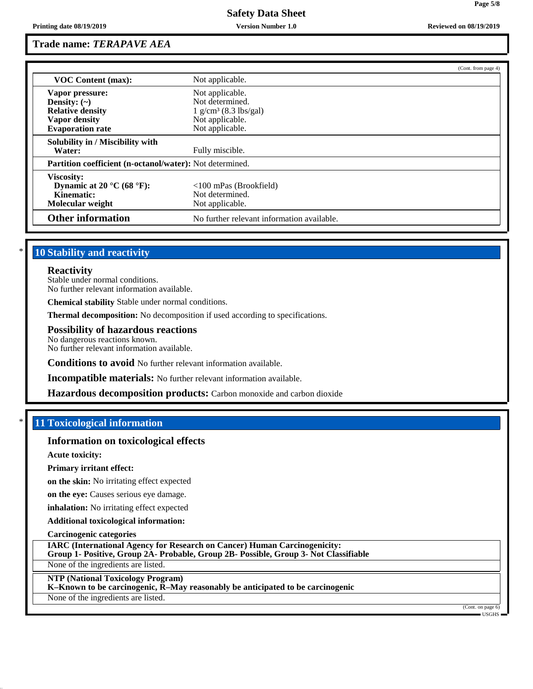## **Trade name:** *TERAPAVE AEA*

|                                                          |                                            | (Cont. from page 4) |  |
|----------------------------------------------------------|--------------------------------------------|---------------------|--|
| <b>VOC Content (max):</b>                                | Not applicable.                            |                     |  |
| Vapor pressure:                                          | Not applicable.                            |                     |  |
| Density: $(\sim)$                                        | Not determined.                            |                     |  |
| <b>Relative density</b>                                  | $1 \text{ g/cm}^3$ (8.3 lbs/gal)           |                     |  |
| Vapor density                                            | Not applicable.                            |                     |  |
| <b>Evaporation rate</b>                                  | Not applicable.                            |                     |  |
| Solubility in / Miscibility with                         |                                            |                     |  |
| Water:                                                   | Fully miscible.                            |                     |  |
| Partition coefficient (n-octanol/water): Not determined. |                                            |                     |  |
| Viscosity:                                               |                                            |                     |  |
| Dynamic at 20 $^{\circ}$ C (68 $^{\circ}$ F):            | $\langle$ 100 mPas (Brookfield)            |                     |  |
| Kinematic:                                               | Not determined.                            |                     |  |
| Molecular weight                                         | Not applicable.                            |                     |  |
| <b>Other information</b>                                 | No further relevant information available. |                     |  |

# **10 Stability and reactivity**

#### **Reactivity**

Stable under normal conditions. No further relevant information available.

**Chemical stability** Stable under normal conditions.

**Thermal decomposition:** No decomposition if used according to specifications.

## **Possibility of hazardous reactions**

No dangerous reactions known. No further relevant information available.

**Conditions to avoid** No further relevant information available.

**Incompatible materials:** No further relevant information available.

**Hazardous decomposition products:** Carbon monoxide and carbon dioxide

# **11 Toxicological information**

## **Information on toxicological effects**

**Acute toxicity:**

**Primary irritant effect:**

**on the skin:** No irritating effect expected

**on the eye:** Causes serious eye damage.

**inhalation:** No irritating effect expected

**Additional toxicological information:**

**Carcinogenic categories**

**IARC (International Agency for Research on Cancer) Human Carcinogenicity:**

**Group 1- Positive, Group 2A- Probable, Group 2B- Possible, Group 3- Not Classifiable**

None of the ingredients are listed.

## **NTP (National Toxicology Program)**

**K–Known to be carcinogenic, R–May reasonably be anticipated to be carcinogenic**

None of the ingredients are listed.

(Cont. on page 6) USGHS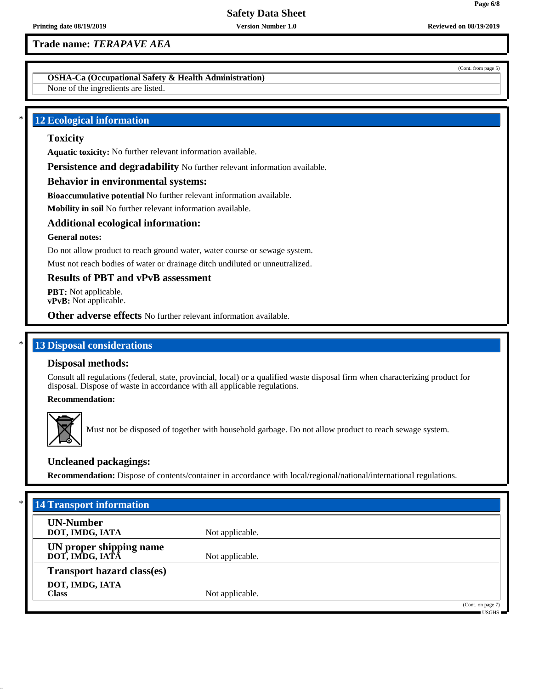## **Trade name:** *TERAPAVE AEA*

**OSHA-Ca (Occupational Safety & Health Administration)**

None of the ingredients are listed.

## **12 Ecological information**

# **Toxicity**

**Aquatic toxicity:** No further relevant information available.

**Persistence and degradability** No further relevant information available.

## **Behavior in environmental systems:**

**Bioaccumulative potential** No further relevant information available.

**Mobility in soil** No further relevant information available.

## **Additional ecological information:**

## **General notes:**

Do not allow product to reach ground water, water course or sewage system.

Must not reach bodies of water or drainage ditch undiluted or unneutralized.

## **Results of PBT and vPvB assessment**

**PBT:** Not applicable. **vPvB:** Not applicable.

**Other adverse effects** No further relevant information available.

# **13 Disposal considerations**

## **Disposal methods:**

Consult all regulations (federal, state, provincial, local) or a qualified waste disposal firm when characterizing product for disposal. Dispose of waste in accordance with all applicable regulations.

#### **Recommendation:**



Must not be disposed of together with household garbage. Do not allow product to reach sewage system.

## **Uncleaned packagings:**

**Recommendation:** Dispose of contents/container in accordance with local/regional/national/international regulations.

| $*$<br><b>14 Transport information</b>     |                 |                                                                              |
|--------------------------------------------|-----------------|------------------------------------------------------------------------------|
| <b>UN-Number</b><br>DOT, IMDG, IATA        | Not applicable. |                                                                              |
| UN proper shipping name<br>DOT, IMDG, IATA | Not applicable. |                                                                              |
| <b>Transport hazard class(es)</b>          |                 |                                                                              |
| DOT, IMDG, IATA<br><b>Class</b>            | Not applicable. |                                                                              |
|                                            |                 | (Cont. on page 7)<br>$\overline{\phantom{a}}$ usghs $\overline{\phantom{a}}$ |

(Cont. from page 5)

**Page 6/8**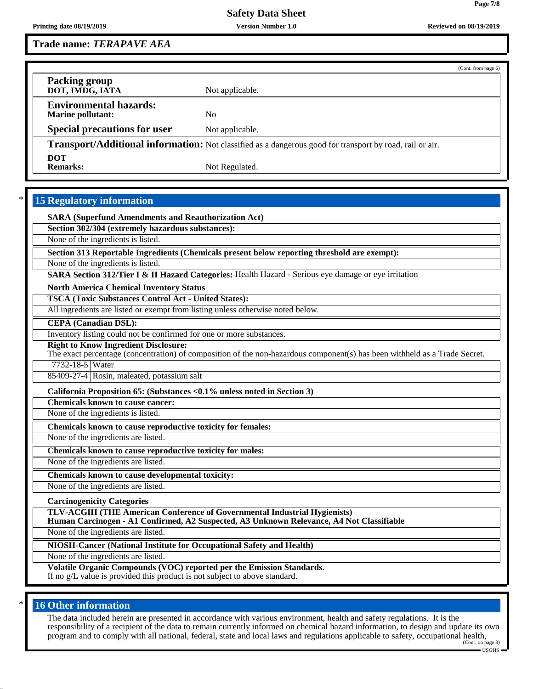**Page 7/8**

**Trade name:** *TERAPAVE AEA*

|                                                           |                                                                                                          | (Cont. from page 6) |
|-----------------------------------------------------------|----------------------------------------------------------------------------------------------------------|---------------------|
| Packing group<br>DOT, IMDG, IATA                          | Not applicable.                                                                                          |                     |
| <b>Environmental hazards:</b><br><b>Marine pollutant:</b> | N <sub>0</sub>                                                                                           |                     |
| <b>Special precautions for user</b>                       | Not applicable.                                                                                          |                     |
|                                                           | Transport/Additional information: Not classified as a dangerous good for transport by road, rail or air. |                     |

DOT<br>**Remarks:** 

Not Regulated.

# **15 Regulatory information**

**SARA (Superfund Amendments and Reauthorization Act)**

**Section 302/304 (extremely hazardous substances):**

None of the ingredients is listed.

**Section 313 Reportable Ingredients (Chemicals present below reporting threshold are exempt):**

None of the ingredients is listed.

**SARA Section 312/Tier I & II Hazard Categories:** Health Hazard - Serious eye damage or eye irritation

**North America Chemical Inventory Status**

**TSCA (Toxic Substances Control Act - United States):**

All ingredients are listed or exempt from listing unless otherwise noted below.

**CEPA (Canadian DSL):**

Inventory listing could not be confirmed for one or more substances.

**Right to Know Ingredient Disclosure:**

The exact percentage (concentration) of composition of the non-hazardous component(s) has been withheld as a Trade Secret.

7732-18-5 Water

85409-27-4 Rosin, maleated, potassium salt

**California Proposition 65: (Substances <0.1% unless noted in Section 3)**

**Chemicals known to cause cancer:**

None of the ingredients is listed.

**Chemicals known to cause reproductive toxicity for females:**

None of the ingredients are listed.

**Chemicals known to cause reproductive toxicity for males:**

None of the ingredients are listed.

**Chemicals known to cause developmental toxicity:**

None of the ingredients are listed.

**Carcinogenicity Categories**

**TLV-ACGIH (THE American Conference of Governmental Industrial Hygienists)**

**Human Carcinogen - A1 Confirmed, A2 Suspected, A3 Unknown Relevance, A4 Not Classifiable**

None of the ingredients are listed.

**NIOSH-Cancer (National Institute for Occupational Safety and Health)**

None of the ingredients are listed.

**Volatile Organic Compounds (VOC) reported per the Emission Standards.**

If no g/L value is provided this product is not subject to above standard.

## **16 Other information**

The data included herein are presented in accordance with various environment, health and safety regulations. It is the responsibility of a recipient of the data to remain currently informed on chemical hazard information, to design and update its own program and to comply with all national, federal, state and local laws and regulations applicable to safety, occupational health, (Cont. on page 8)